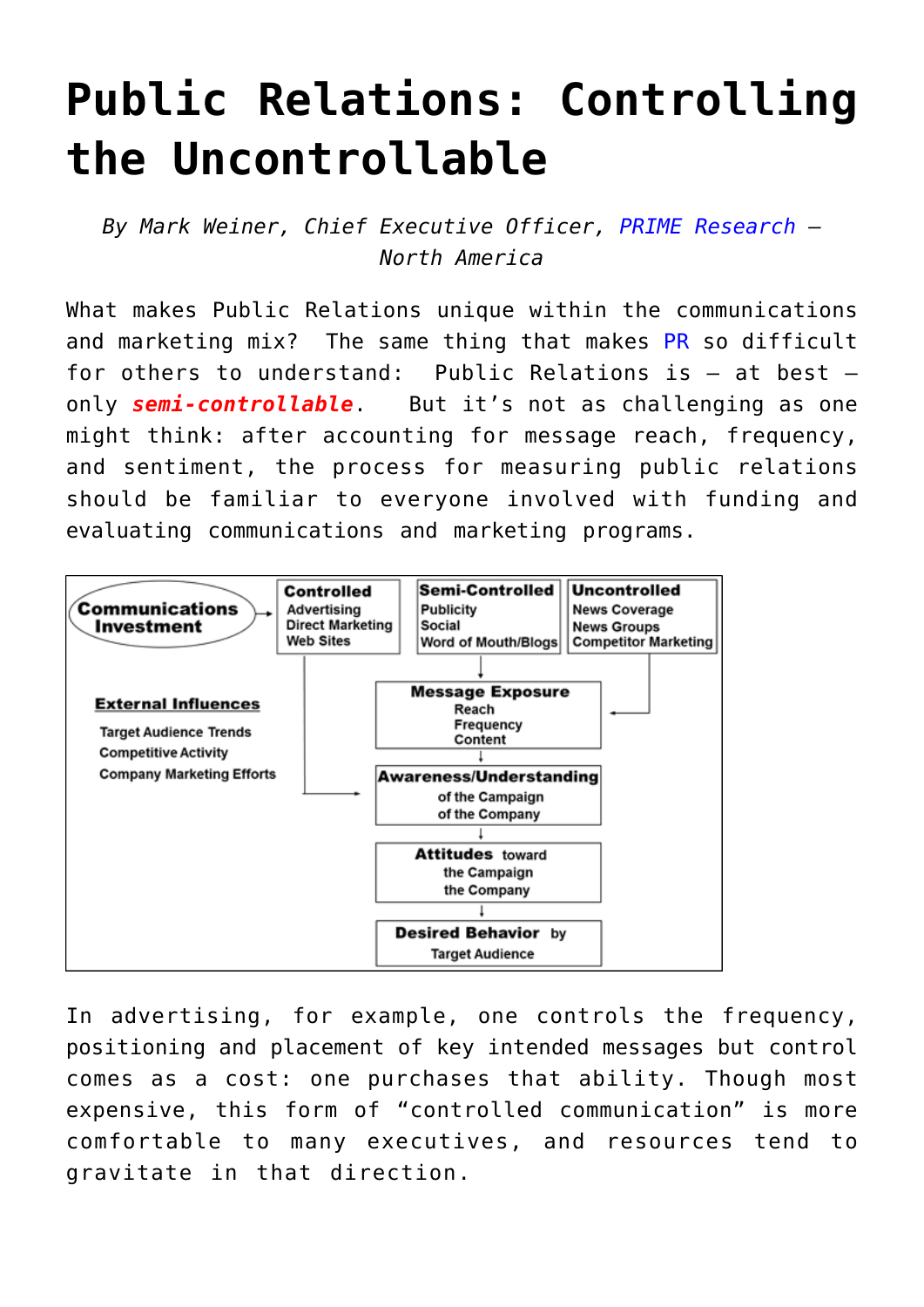## **[Public Relations: Controlling](https://www.commpro.biz/public-relations-controlling-the-uncontrollable/) [the Uncontrollable](https://www.commpro.biz/public-relations-controlling-the-uncontrollable/)**

*By Mark Weiner, Chief Executive Officer, [PRIME Research](https://www.prime-research.com/index.php) – North America*

What makes Public Relations unique within the communications and marketing mix? The same thing that makes [PR](https://www.commpro.biz/pr-roi-channel/) so difficult for others to understand: Public Relations is – at best only *semi-controllable*. But it's not as challenging as one might think: after accounting for message reach, frequency, and sentiment, the process for measuring public relations should be familiar to everyone involved with funding and evaluating communications and marketing programs.



In advertising, for example, one controls the frequency, positioning and placement of key intended messages but control comes as a cost: one purchases that ability. Though most expensive, this form of "controlled communication" is more comfortable to many executives, and resources tend to gravitate in that direction.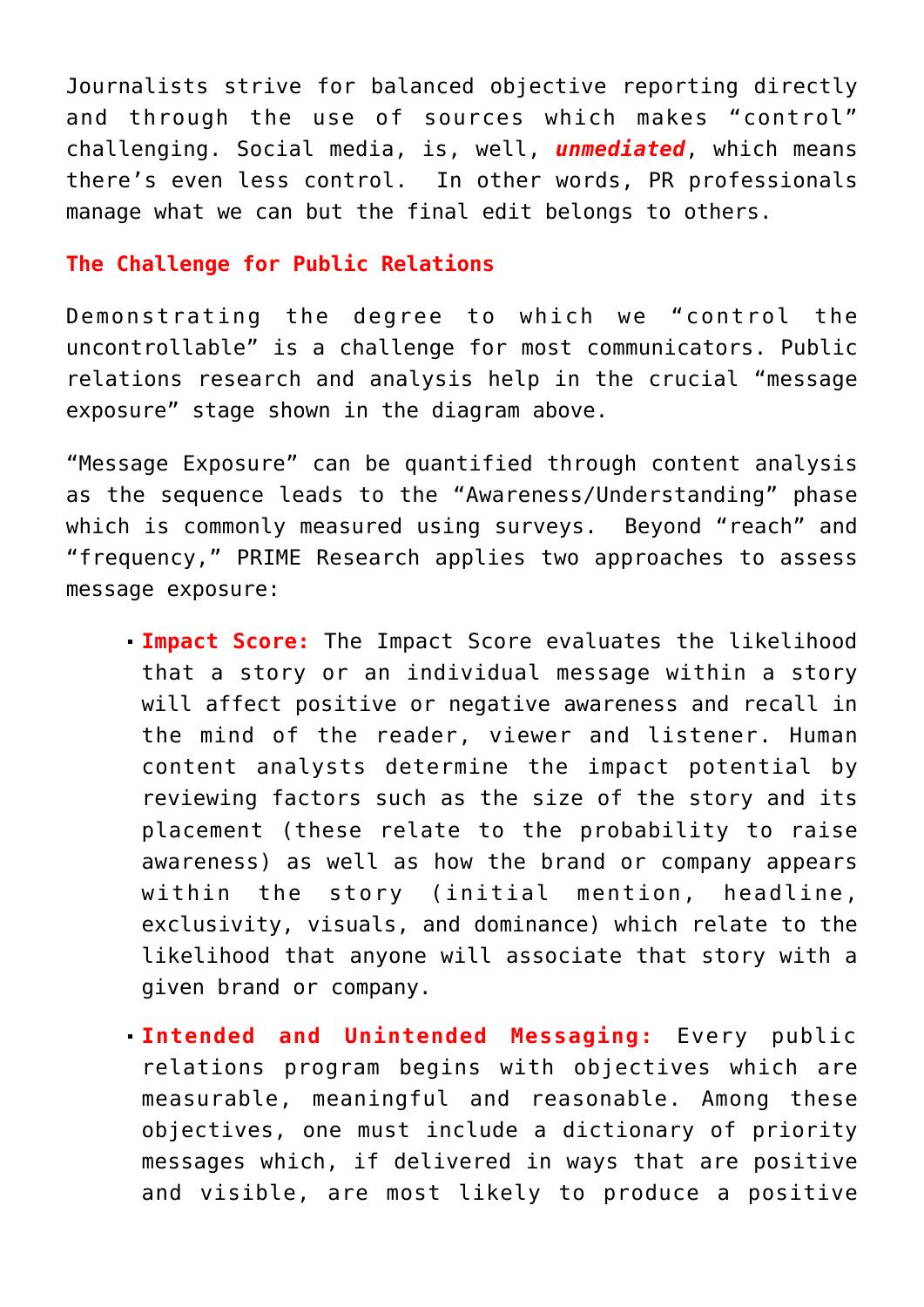Journalists strive for balanced objective reporting directly and through the use of sources which makes "control" challenging. Social media, is, well, *unmediated*, which means there's even less control. In other words, PR professionals manage what we can but the final edit belongs to others.

## **The Challenge for Public Relations**

Demonstrating the degree to which we "control the uncontrollable" is a challenge for most communicators. Public relations research and analysis help in the crucial "message exposure" stage shown in the diagram above.

"Message Exposure" can be quantified through content analysis as the sequence leads to the "Awareness/Understanding" phase which is commonly measured using surveys. Beyond "reach" and "frequency," PRIME Research applies two approaches to assess message exposure:

- **Impact Score:** The Impact Score evaluates the likelihood that a story or an individual message within a story will affect positive or negative awareness and recall in the mind of the reader, viewer and listener. Human content analysts determine the impact potential by reviewing factors such as the size of the story and its placement (these relate to the probability to raise awareness) as well as how the brand or company appears within the story (initial mention, headline, exclusivity, visuals, and dominance) which relate to the likelihood that anyone will associate that story with a given brand or company.
- **Intended and Unintended Messaging:** Every public relations program begins with objectives which are measurable, meaningful and reasonable. Among these objectives, one must include a dictionary of priority messages which, if delivered in ways that are positive and visible, are most likely to produce a positive